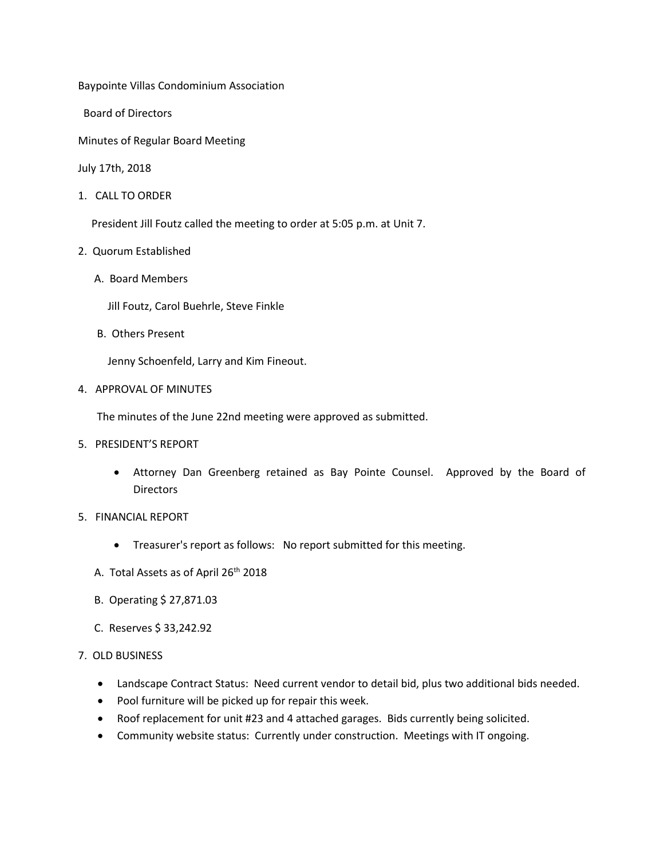Baypointe Villas Condominium Association

Board of Directors

Minutes of Regular Board Meeting

July 17th, 2018

1. CALL TO ORDER

President Jill Foutz called the meeting to order at 5:05 p.m. at Unit 7.

- 2. Quorum Established
	- A. Board Members
		- Jill Foutz, Carol Buehrle, Steve Finkle
	- B. Others Present

Jenny Schoenfeld, Larry and Kim Fineout.

4. APPROVAL OF MINUTES

The minutes of the June 22nd meeting were approved as submitted.

- 5. PRESIDENT'S REPORT
	- Attorney Dan Greenberg retained as Bay Pointe Counsel. Approved by the Board of **Directors**
- 5. FINANCIAL REPORT
	- Treasurer's report as follows: No report submitted for this meeting.
	- A. Total Assets as of April 26<sup>th</sup> 2018
	- B. Operating \$ 27,871.03
	- C. Reserves \$ 33,242.92
- 7. OLD BUSINESS
	- Landscape Contract Status: Need current vendor to detail bid, plus two additional bids needed.
	- Pool furniture will be picked up for repair this week.
	- Roof replacement for unit #23 and 4 attached garages. Bids currently being solicited.
	- Community website status: Currently under construction. Meetings with IT ongoing.